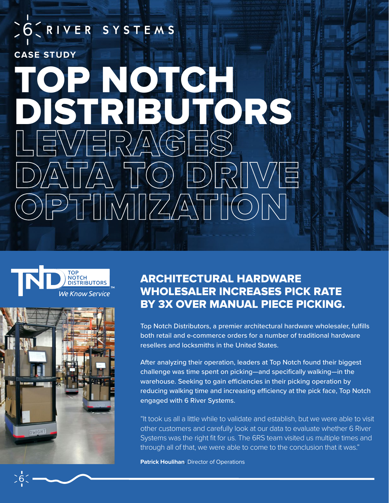# SO CRIVER SYSTEMS **CASE STUDY** OP NOTCH DISTRIBUTORS VER<u>A</u>GE<br>TA TO E DATA TO DRIVE OPTIMIZATION





### ARCHITECTURAL HARDWARE WHOLESALER INCREASES PICK RATE BY 3X OVER MANUAL PIECE PICKING.

Top Notch Distributors, a premier architectural hardware wholesaler, fulfills both retail and e-commerce orders for a number of traditional hardware resellers and locksmiths in the United States.

After analyzing their operation, leaders at Top Notch found their biggest challenge was time spent on picking—and specifically walking—in the warehouse. Seeking to gain efficiencies in their picking operation by reducing walking time and increasing efficiency at the pick face, Top Notch engaged with 6 River Systems.

"It took us all a little while to validate and establish, but we were able to visit other customers and carefully look at our data to evaluate whether 6 River Systems was the right fit for us. The 6RS team visited us multiple times and through all of that, we were able to come to the conclusion that it was."

**Patrick Houlihan**, Director of Operations